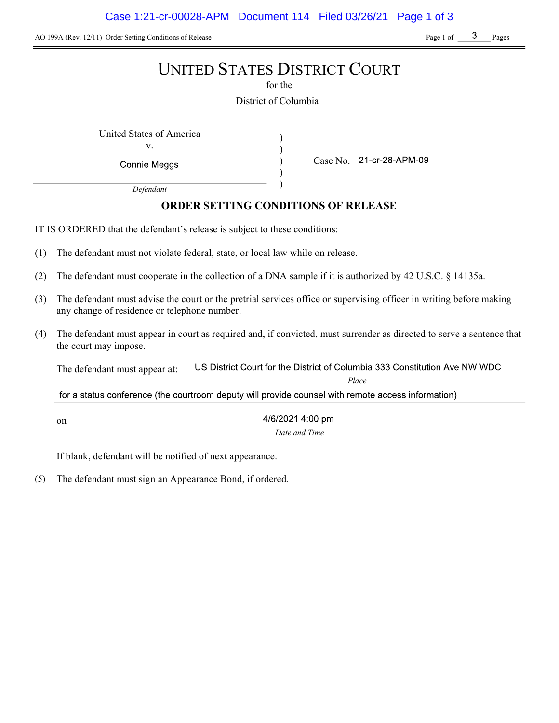AO 199A (Rev. 12/11) Order Setting Conditions of Release Page 1 of Page 1 of Page 1 of Pages

# UNITED STATES DISTRICT COURT

for the

District of Columbia

) ) ) )

United States of America (1992) v.

Connie Meggs

Case No.

Place

Defendant

# ORDER SETTING CONDITIONS OF RELEASE

IT IS ORDERED that the defendant's release is subject to these conditions:

- (1) The defendant must not violate federal, state, or local law while on release.
- (2) The defendant must cooperate in the collection of a DNA sample if it is authorized by 42 U.S.C. § 14135a.
- (3) The defendant must advise the court or the pretrial services office or supervising officer in writing before making any change of residence or telephone number.
- (4) The defendant must appear in court as required and, if convicted, must surrender as directed to serve a sentence that the court may impose.

US District Court for the District of Columbia 333 Constitution Ave NW WDC The defendant must appear at:

for a status conference (the courtroom deputy will provide counsel with remote access information)

4/6/2021 4:00 pm

Date and Time

If blank, defendant will be notified of next appearance.

on

(5) The defendant must sign an Appearance Bond, if ordered.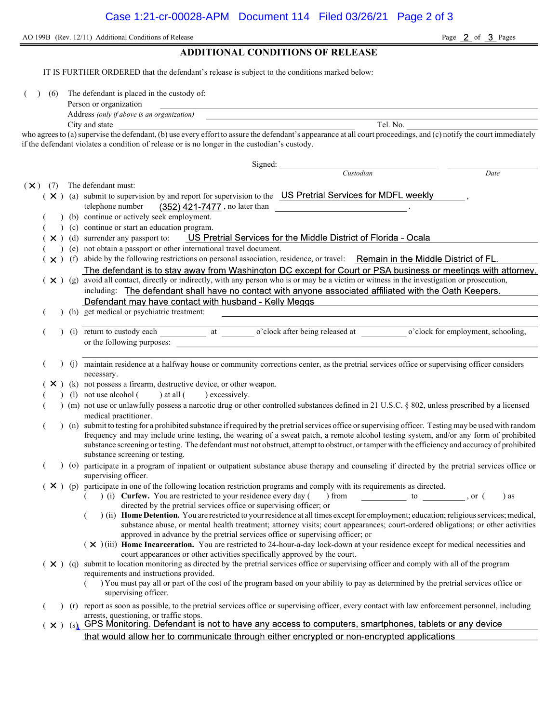AO 199B (Rev. 12/11) Additional Conditions of Release Page 2 of 3 Pages

## ADDITIONAL CONDITIONS OF RELEASE

IT IS FURTHER ORDERED that the defendant's release is subject to the conditions marked below:

( ) (6) The defendant is placed in the custody of:

| Person or organization |  |  |  |
|------------------------|--|--|--|
|                        |  |  |  |

Address (only if above is an organization) City and state Tel. No.

who agrees to (a) supervise the defendant, (b) use every effort to assure the defendant's appearance at all court proceedings, and (c) notify the court immediately if the defendant violates a condition of release or is no longer in the custodian's custody.

|            |     |                |     | Signed:                                                                                                                                                                           |                                                                                                                                 |      |  |  |  |  |
|------------|-----|----------------|-----|-----------------------------------------------------------------------------------------------------------------------------------------------------------------------------------|---------------------------------------------------------------------------------------------------------------------------------|------|--|--|--|--|
|            |     |                |     |                                                                                                                                                                                   | Custodian                                                                                                                       | Date |  |  |  |  |
| $(\times)$ | (7) |                |     | The defendant must:                                                                                                                                                               |                                                                                                                                 |      |  |  |  |  |
|            |     |                |     | $(X)$ (a) submit to supervision by and report for supervision to the US Pretrial Services for MDFL weekly                                                                         |                                                                                                                                 |      |  |  |  |  |
|            |     |                |     | (352) 421-7477, no later than<br>telephone number                                                                                                                                 |                                                                                                                                 |      |  |  |  |  |
|            |     |                |     | (b) continue or actively seek employment.                                                                                                                                         |                                                                                                                                 |      |  |  |  |  |
|            |     |                |     | (c) continue or start an education program.                                                                                                                                       |                                                                                                                                 |      |  |  |  |  |
|            |     |                |     | $\mathsf{\times}$ ) (d) surrender any passport to:                                                                                                                                | US Pretrial Services for the Middle District of Florida - Ocala                                                                 |      |  |  |  |  |
|            |     |                |     | (e) not obtain a passport or other international travel document.                                                                                                                 |                                                                                                                                 |      |  |  |  |  |
|            |     |                |     | $(x)$ (f) abide by the following restrictions on personal association, residence, or travel: Remain in the Middle District of FL.                                                 |                                                                                                                                 |      |  |  |  |  |
|            |     |                |     | The defendant is to stay away from Washington DC except for Court or PSA business or meetings with attorney.                                                                      |                                                                                                                                 |      |  |  |  |  |
|            |     |                |     | $(\times)$ (g) avoid all contact, directly or indirectly, with any person who is or may be a victim or witness in the investigation or prosecution,                               |                                                                                                                                 |      |  |  |  |  |
|            |     |                |     | including: The defendant shall have no contact with anyone associated affiliated with the Oath Keepers.                                                                           |                                                                                                                                 |      |  |  |  |  |
|            |     |                |     | Defendant may have contact with husband - Kelly Meggs                                                                                                                             |                                                                                                                                 |      |  |  |  |  |
|            |     |                |     | (h) get medical or psychiatric treatment:                                                                                                                                         |                                                                                                                                 |      |  |  |  |  |
|            |     |                |     |                                                                                                                                                                                   |                                                                                                                                 |      |  |  |  |  |
|            |     |                |     |                                                                                                                                                                                   |                                                                                                                                 |      |  |  |  |  |
|            |     |                |     | or the following purposes:                                                                                                                                                        |                                                                                                                                 |      |  |  |  |  |
|            |     |                |     |                                                                                                                                                                                   |                                                                                                                                 |      |  |  |  |  |
|            |     |                |     | (j) maintain residence at a halfway house or community corrections center, as the pretrial services office or supervising officer considers                                       |                                                                                                                                 |      |  |  |  |  |
|            |     |                |     | necessary.                                                                                                                                                                        |                                                                                                                                 |      |  |  |  |  |
|            |     | $\mathsf{X}$ ) |     | (k) not possess a firearm, destructive device, or other weapon.                                                                                                                   |                                                                                                                                 |      |  |  |  |  |
|            |     |                |     | $(l)$ not use alcohol $(l)$                                                                                                                                                       |                                                                                                                                 |      |  |  |  |  |
|            |     |                |     | (m) not use or unlawfully possess a narcotic drug or other controlled substances defined in 21 U.S.C. § 802, unless prescribed by a licensed                                      |                                                                                                                                 |      |  |  |  |  |
|            |     |                |     | medical practitioner.                                                                                                                                                             |                                                                                                                                 |      |  |  |  |  |
|            |     |                |     | (n) submit to testing for a prohibited substance if required by the pretrial services office or supervising officer. Testing may be used with random                              |                                                                                                                                 |      |  |  |  |  |
|            |     |                |     | frequency and may include urine testing, the wearing of a sweat patch, a remote alcohol testing system, and/or any form of prohibited                                             |                                                                                                                                 |      |  |  |  |  |
|            |     |                |     | substance screening or testing. The defendant must not obstruct, attempt to obstruct, or tamper with the efficiency and accuracy of prohibited<br>substance screening or testing. |                                                                                                                                 |      |  |  |  |  |
|            |     |                | (0) |                                                                                                                                                                                   |                                                                                                                                 |      |  |  |  |  |
|            |     |                |     | participate in a program of inpatient or outpatient substance abuse therapy and counseling if directed by the pretrial services office or<br>supervising officer.                 |                                                                                                                                 |      |  |  |  |  |
|            |     |                |     | $(X)$ (p) participate in one of the following location restriction programs and comply with its requirements as directed.                                                         |                                                                                                                                 |      |  |  |  |  |
|            |     |                |     | (i) Curfew. You are restricted to your residence every day (                                                                                                                      | $\frac{1}{2}$ from to , or (                                                                                                    | ) as |  |  |  |  |
|            |     |                |     | directed by the pretrial services office or supervising officer; or                                                                                                               |                                                                                                                                 |      |  |  |  |  |
|            |     |                |     | ) (ii) Home Detention. You are restricted to your residence at all times except for employment; education; religious services; medical,                                           |                                                                                                                                 |      |  |  |  |  |
|            |     |                |     |                                                                                                                                                                                   | substance abuse, or mental health treatment; attorney visits; court appearances; court-ordered obligations; or other activities |      |  |  |  |  |
|            |     |                |     | approved in advance by the pretrial services office or supervising officer; or                                                                                                    |                                                                                                                                 |      |  |  |  |  |
|            |     |                |     | (X) (iii) Home Incarceration. You are restricted to 24-hour-a-day lock-down at your residence except for medical necessities and                                                  |                                                                                                                                 |      |  |  |  |  |
|            |     |                |     | court appearances or other activities specifically approved by the court.                                                                                                         |                                                                                                                                 |      |  |  |  |  |
|            |     |                |     | $(X)$ (q) submit to location monitoring as directed by the pretrial services office or supervising officer and comply with all of the program                                     |                                                                                                                                 |      |  |  |  |  |
|            |     |                |     | requirements and instructions provided.                                                                                                                                           |                                                                                                                                 |      |  |  |  |  |
|            |     |                |     | ) You must pay all or part of the cost of the program based on your ability to pay as determined by the pretrial services office or                                               |                                                                                                                                 |      |  |  |  |  |
|            |     |                |     | supervising officer.                                                                                                                                                              |                                                                                                                                 |      |  |  |  |  |
|            |     |                |     | (r) report as soon as possible, to the pretrial services office or supervising officer, every contact with law enforcement personnel, including                                   |                                                                                                                                 |      |  |  |  |  |
|            |     |                |     | arrests, questioning, or traffic stops.<br>$(x)$ (s) GPS Monitoring. Defendant is not to have any access to computers, smartphones, tablets or any device                         |                                                                                                                                 |      |  |  |  |  |
|            |     |                |     |                                                                                                                                                                                   |                                                                                                                                 |      |  |  |  |  |
|            |     |                |     | that would allow her to communicate through either encrypted or non-encrypted applications                                                                                        |                                                                                                                                 |      |  |  |  |  |
|            |     |                |     |                                                                                                                                                                                   |                                                                                                                                 |      |  |  |  |  |